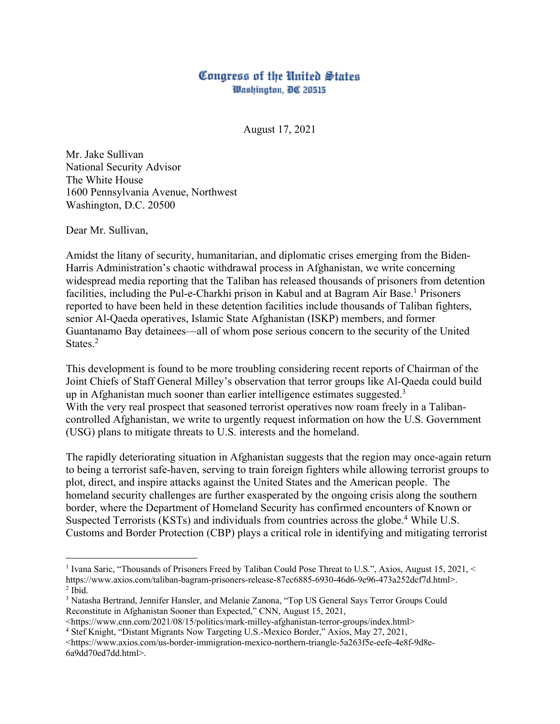## Congress of the United States Washington, DC 20515

August 17, 2021

Mr. Jake Sullivan National Security Advisor The White House 1600 Pennsylvania Avenue, Northwest Washington, D.C. 20500

Dear Mr. Sullivan,

Amidst the litany of security, humanitarian, and diplomatic crises emerging from the Biden-Harris Administration's chaotic withdrawal process in Afghanistan, we write concerning widespread media reporting that the Taliban has released thousands of prisoners from detention facilities, including the Pul-e-Charkhi prison in Kabul and at Bagram Air Base.<sup>1</sup> Prisoners reported to have been held in these detention facilities include thousands of Taliban fighters, senior Al-Qaeda operatives, Islamic State Afghanistan (ISKP) members, and former Guantanamo Bay detainees—all of whom pose serious concern to the security of the United States. 2

This development is found to be more troubling considering recent reports of Chairman of the Joint Chiefs of Staff General Milley's observation that terror groups like Al-Qaeda could build up in Afghanistan much sooner than earlier intelligence estimates suggested.<sup>3</sup> With the very real prospect that seasoned terrorist operatives now roam freely in a Talibancontrolled Afghanistan, we write to urgently request information on how the U.S. Government (USG) plans to mitigate threats to U.S. interests and the homeland.

The rapidly deteriorating situation in Afghanistan suggests that the region may once-again return to being a terrorist safe-haven, serving to train foreign fighters while allowing terrorist groups to plot, direct, and inspire attacks against the United States and the American people. The homeland security challenges are further exasperated by the ongoing crisis along the southern border, where the Department of Homeland Security has confirmed encounters of Known or Suspected Terrorists (KSTs) and individuals from countries across the globe.4 While U.S. Customs and Border Protection (CBP) plays a critical role in identifying and mitigating terrorist

<https://www.cnn.com/2021/08/15/politics/mark-milley-afghanistan-terror-groups/index.html> 4 Stef Knight, "Distant Migrants Now Targeting U.S.-Mexico Border," Axios, May 27, 2021,

<https://www.axios.com/us-border-immigration-mexico-northern-triangle-5a263f5e-eefe-4e8f-9d8e-6a9dd70ed7dd.html>.

<sup>1</sup> Ivana Saric, "Thousands of Prisoners Freed by Taliban Could Pose Threat to U.S.", Axios, August 15, 2021, < https://www.axios.com/taliban-bagram-prisoners-release-87ec6885-6930-46d6-9e96-473a252dcf7d.html>.<br><sup>2</sup> Ibid.

<sup>3</sup> Natasha Bertrand, Jennifer Hansler, and Melanie Zanona, "Top US General Says Terror Groups Could Reconstitute in Afghanistan Sooner than Expected," CNN, August 15, 2021,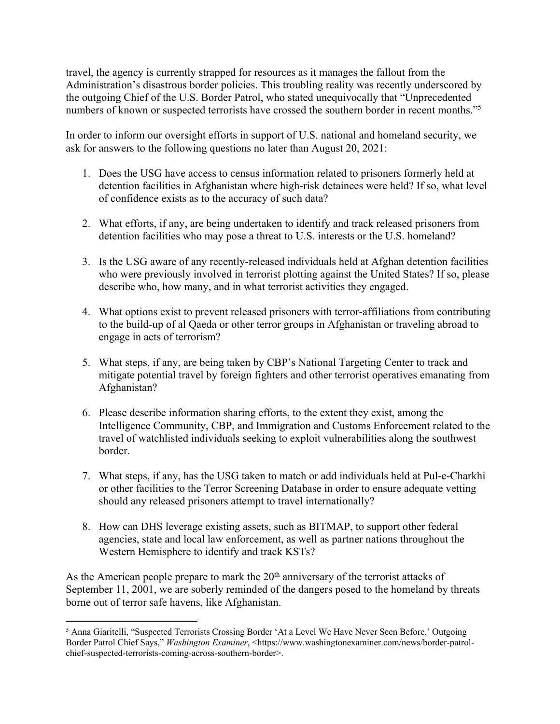travel, the agency is currently strapped for resources as it manages the fallout from the Administration's disastrous border policies. This troubling reality was recently underscored by the outgoing Chief of the U.S. Border Patrol, who stated unequivocally that "Unprecedented numbers of known or suspected terrorists have crossed the southern border in recent months."5

In order to inform our oversight efforts in support of U.S. national and homeland security, we ask for answers to the following questions no later than August 20, 2021:

- 1. Does the USG have access to census information related to prisoners formerly held at detention facilities in Afghanistan where high-risk detainees were held? If so, what level of confidence exists as to the accuracy of such data?
- 2. What efforts, if any, are being undertaken to identify and track released prisoners from detention facilities who may pose a threat to U.S. interests or the U.S. homeland?
- 3. Is the USG aware of any recently-released individuals held at Afghan detention facilities who were previously involved in terrorist plotting against the United States? If so, please describe who, how many, and in what terrorist activities they engaged.
- 4. What options exist to prevent released prisoners with terror-affiliations from contributing to the build-up of al Qaeda or other terror groups in Afghanistan or traveling abroad to engage in acts of terrorism?
- 5. What steps, if any, are being taken by CBP's National Targeting Center to track and mitigate potential travel by foreign fighters and other terrorist operatives emanating from Afghanistan?
- 6. Please describe information sharing efforts, to the extent they exist, among the Intelligence Community, CBP, and Immigration and Customs Enforcement related to the travel of watchlisted individuals seeking to exploit vulnerabilities along the southwest border.
- 7. What steps, if any, has the USG taken to match or add individuals held at Pul-e-Charkhi or other facilities to the Terror Screening Database in order to ensure adequate vetting should any released prisoners attempt to travel internationally?
- 8. How can DHS leverage existing assets, such as BITMAP, to support other federal agencies, state and local law enforcement, as well as partner nations throughout the Western Hemisphere to identify and track KSTs?

As the American people prepare to mark the 20<sup>th</sup> anniversary of the terrorist attacks of September 11, 2001, we are soberly reminded of the dangers posed to the homeland by threats borne out of terror safe havens, like Afghanistan.

<sup>5</sup> Anna Giaritelli, "Suspected Terrorists Crossing Border 'At a Level We Have Never Seen Before,' Outgoing Border Patrol Chief Says," *Washington Examiner*, <https://www.washingtonexaminer.com/news/border-patrolchief-suspected-terrorists-coming-across-southern-border>.